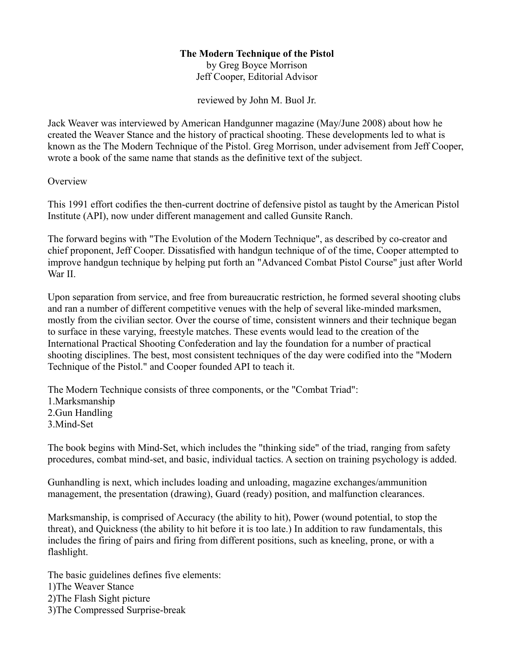## **The Modern Technique of the Pistol**

by Greg Boyce Morrison Jeff Cooper, Editorial Advisor

reviewed by John M. Buol Jr.

Jack Weaver was interviewed by American Handgunner magazine (May/June 2008) about how he created the Weaver Stance and the history of practical shooting. These developments led to what is known as the The Modern Technique of the Pistol. Greg Morrison, under advisement from Jeff Cooper, wrote a book of the same name that stands as the definitive text of the subject.

**Overview** 

This 1991 effort codifies the then-current doctrine of defensive pistol as taught by the American Pistol Institute (API), now under different management and called Gunsite Ranch.

The forward begins with "The Evolution of the Modern Technique", as described by co-creator and chief proponent, Jeff Cooper. Dissatisfied with handgun technique of of the time, Cooper attempted to improve handgun technique by helping put forth an "Advanced Combat Pistol Course" just after World War II.

Upon separation from service, and free from bureaucratic restriction, he formed several shooting clubs and ran a number of different competitive venues with the help of several like-minded marksmen, mostly from the civilian sector. Over the course of time, consistent winners and their technique began to surface in these varying, freestyle matches. These events would lead to the creation of the International Practical Shooting Confederation and lay the foundation for a number of practical shooting disciplines. The best, most consistent techniques of the day were codified into the "Modern Technique of the Pistol." and Cooper founded API to teach it.

The Modern Technique consists of three components, or the "Combat Triad":

1.Marksmanship 2.Gun Handling 3.Mind-Set

The book begins with Mind-Set, which includes the "thinking side" of the triad, ranging from safety procedures, combat mind-set, and basic, individual tactics. A section on training psychology is added.

Gunhandling is next, which includes loading and unloading, magazine exchanges/ammunition management, the presentation (drawing), Guard (ready) position, and malfunction clearances.

Marksmanship, is comprised of Accuracy (the ability to hit), Power (wound potential, to stop the threat), and Quickness (the ability to hit before it is too late.) In addition to raw fundamentals, this includes the firing of pairs and firing from different positions, such as kneeling, prone, or with a flashlight.

The basic guidelines defines five elements: 1)The Weaver Stance 2)The Flash Sight picture 3)The Compressed Surprise-break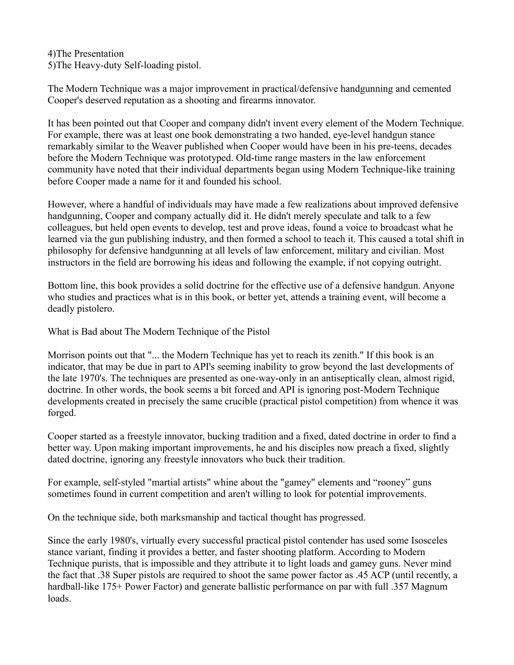4)The Presentation 5)The Heavy-duty Self-loading pistol.

The Modern Technique was a major improvement in practical/defensive handgunning and cemented Cooper's deserved reputation as a shooting and firearms innovator.

It has been pointed out that Cooper and company didn't invent every element of the Modern Technique. For example, there was at least one book demonstrating a two handed, eye-level handgun stance remarkably similar to the Weaver published when Cooper would have been in his pre-teens, decades before the Modern Technique was prototyped. Old-time range masters in the law enforcement community have noted that their individual departments began using Modern Technique-like training before Cooper made a name for it and founded his school.

However, where a handful of individuals may have made a few realizations about improved defensive handgunning, Cooper and company actually did it. He didn't merely speculate and talk to a few colleagues, but held open events to develop, test and prove ideas, found a voice to broadcast what he learned via the gun publishing industry, and then formed a school to teach it. This caused a total shift in philosophy for defensive handgunning at all levels of law enforcement, military and civilian. Most instructors in the field are borrowing his ideas and following the example, if not copying outright.

Bottom line, this book provides a solid doctrine for the effective use of a defensive handgun. Anyone who studies and practices what is in this book, or better yet, attends a training event, will become a deadly pistolero.

What is Bad about The Modern Technique of the Pistol

Morrison points out that "... the Modern Technique has yet to reach its zenith." If this book is an indicator, that may be due in part to API's seeming inability to grow beyond the last developments of the late 1970's. The techniques are presented as one-way-only in an antiseptically clean, almost rigid, doctrine. In other words, the book seems a bit forced and API is ignoring post-Modern Technique developments created in precisely the same crucible (practical pistol competition) from whence it was forged.

Cooper started as a freestyle innovator, bucking tradition and a fixed, dated doctrine in order to find a better way. Upon making important improvements, he and his disciples now preach a fixed, slightly dated doctrine, ignoring any freestyle innovators who buck their tradition.

For example, self-styled "martial artists" whine about the "gamey" elements and "rooney" guns sometimes found in current competition and aren't willing to look for potential improvements.

On the technique side, both marksmanship and tactical thought has progressed.

Since the early 1980's, virtually every successful practical pistol contender has used some Isosceles stance variant, finding it provides a better, and faster shooting platform. According to Modern Technique purists, that is impossible and they attribute it to light loads and gamey guns. Never mind the fact that .38 Super pistols are required to shoot the same power factor as .45 ACP (until recently, a hardball-like 175+ Power Factor) and generate ballistic performance on par with full .357 Magnum loads.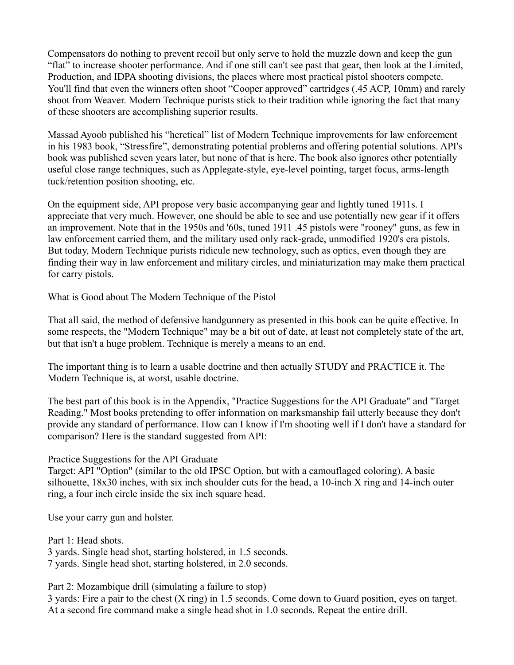Compensators do nothing to prevent recoil but only serve to hold the muzzle down and keep the gun "flat" to increase shooter performance. And if one still can't see past that gear, then look at the Limited, Production, and IDPA shooting divisions, the places where most practical pistol shooters compete. You'll find that even the winners often shoot "Cooper approved" cartridges (.45 ACP, 10mm) and rarely shoot from Weaver. Modern Technique purists stick to their tradition while ignoring the fact that many of these shooters are accomplishing superior results.

Massad Ayoob published his "heretical" list of Modern Technique improvements for law enforcement in his 1983 book, "Stressfire", demonstrating potential problems and offering potential solutions. API's book was published seven years later, but none of that is here. The book also ignores other potentially useful close range techniques, such as Applegate-style, eye-level pointing, target focus, arms-length tuck/retention position shooting, etc.

On the equipment side, API propose very basic accompanying gear and lightly tuned 1911s. I appreciate that very much. However, one should be able to see and use potentially new gear if it offers an improvement. Note that in the 1950s and '60s, tuned 1911 .45 pistols were "rooney" guns, as few in law enforcement carried them, and the military used only rack-grade, unmodified 1920's era pistols. But today, Modern Technique purists ridicule new technology, such as optics, even though they are finding their way in law enforcement and military circles, and miniaturization may make them practical for carry pistols.

What is Good about The Modern Technique of the Pistol

That all said, the method of defensive handgunnery as presented in this book can be quite effective. In some respects, the "Modern Technique" may be a bit out of date, at least not completely state of the art, but that isn't a huge problem. Technique is merely a means to an end.

The important thing is to learn a usable doctrine and then actually STUDY and PRACTICE it. The Modern Technique is, at worst, usable doctrine.

The best part of this book is in the Appendix, "Practice Suggestions for the API Graduate" and "Target Reading." Most books pretending to offer information on marksmanship fail utterly because they don't provide any standard of performance. How can I know if I'm shooting well if I don't have a standard for comparison? Here is the standard suggested from API:

## Practice Suggestions for the API Graduate

Target: API "Option" (similar to the old IPSC Option, but with a camouflaged coloring). A basic silhouette, 18x30 inches, with six inch shoulder cuts for the head, a 10-inch X ring and 14-inch outer ring, a four inch circle inside the six inch square head.

Use your carry gun and holster.

Part 1: Head shots. 3 yards. Single head shot, starting holstered, in 1.5 seconds. 7 yards. Single head shot, starting holstered, in 2.0 seconds.

Part 2: Mozambique drill (simulating a failure to stop) 3 yards: Fire a pair to the chest (X ring) in 1.5 seconds. Come down to Guard position, eyes on target. At a second fire command make a single head shot in 1.0 seconds. Repeat the entire drill.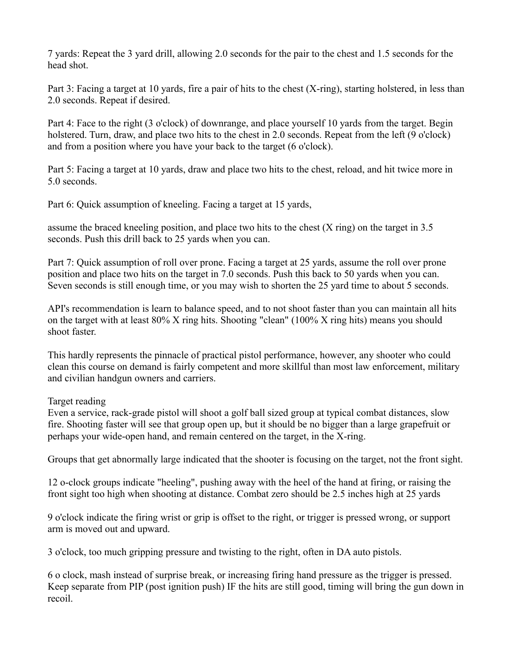7 yards: Repeat the 3 yard drill, allowing 2.0 seconds for the pair to the chest and 1.5 seconds for the head shot.

Part 3: Facing a target at 10 yards, fire a pair of hits to the chest (X-ring), starting holstered, in less than 2.0 seconds. Repeat if desired.

Part 4: Face to the right (3 o'clock) of downrange, and place yourself 10 yards from the target. Begin holstered. Turn, draw, and place two hits to the chest in 2.0 seconds. Repeat from the left (9 o'clock) and from a position where you have your back to the target (6 o'clock).

Part 5: Facing a target at 10 yards, draw and place two hits to the chest, reload, and hit twice more in 5.0 seconds.

Part 6: Quick assumption of kneeling. Facing a target at 15 yards,

assume the braced kneeling position, and place two hits to the chest (X ring) on the target in 3.5 seconds. Push this drill back to 25 yards when you can.

Part 7: Quick assumption of roll over prone. Facing a target at 25 yards, assume the roll over prone position and place two hits on the target in 7.0 seconds. Push this back to 50 yards when you can. Seven seconds is still enough time, or you may wish to shorten the 25 yard time to about 5 seconds.

API's recommendation is learn to balance speed, and to not shoot faster than you can maintain all hits on the target with at least 80% X ring hits. Shooting "clean" (100% X ring hits) means you should shoot faster.

This hardly represents the pinnacle of practical pistol performance, however, any shooter who could clean this course on demand is fairly competent and more skillful than most law enforcement, military and civilian handgun owners and carriers.

## Target reading

Even a service, rack-grade pistol will shoot a golf ball sized group at typical combat distances, slow fire. Shooting faster will see that group open up, but it should be no bigger than a large grapefruit or perhaps your wide-open hand, and remain centered on the target, in the X-ring.

Groups that get abnormally large indicated that the shooter is focusing on the target, not the front sight.

12 o-clock groups indicate "heeling", pushing away with the heel of the hand at firing, or raising the front sight too high when shooting at distance. Combat zero should be 2.5 inches high at 25 yards

9 o'clock indicate the firing wrist or grip is offset to the right, or trigger is pressed wrong, or support arm is moved out and upward.

3 o'clock, too much gripping pressure and twisting to the right, often in DA auto pistols.

6 o clock, mash instead of surprise break, or increasing firing hand pressure as the trigger is pressed. Keep separate from PIP (post ignition push) IF the hits are still good, timing will bring the gun down in recoil.